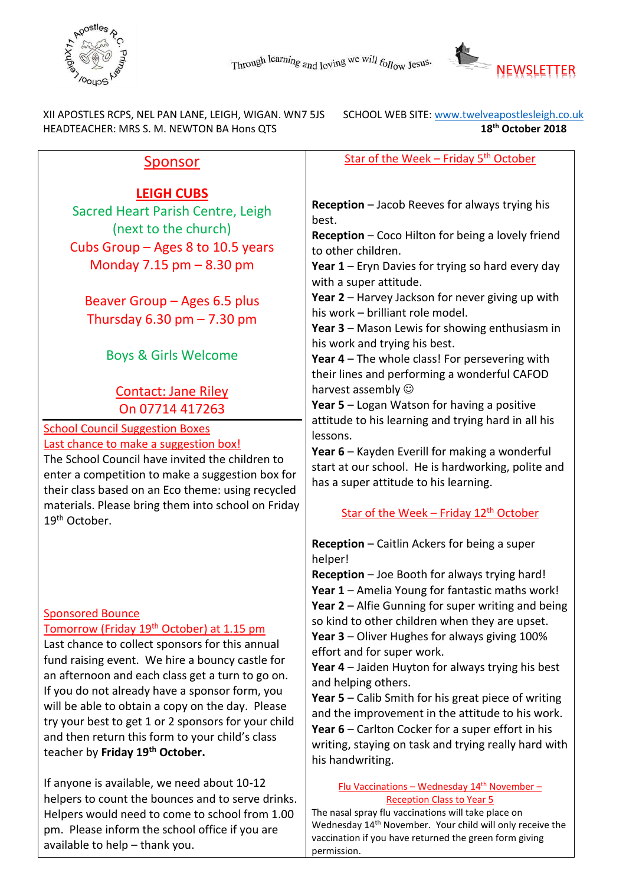



 XII APOSTLES RCPS, NEL PAN LANE, LEIGH, WIGAN. WN7 5JS SCHOOL WEB SITE[: www.twelveapostlesleigh.co.uk](http://www.twelveapostlesleigh.co.uk/)  HEADTEACHER: MRS S. M. NEWTON BA Hons QTS **18th October 2018** 

## Sponsor

# **LEIGH CUBS**

Sacred Heart Parish Centre, Leigh (next to the church) Cubs Group – Ages 8 to 10.5 years Monday 7.15 pm – 8.30 pm

Beaver Group – Ages 6.5 plus Thursday  $6.30$  pm  $- 7.30$  pm

Boys & Girls Welcome

# Contact: Jane Riley On 07714 417263

#### School Council Suggestion Boxes Last chance to make a suggestion box!

The School Council have invited the children to enter a competition to make a suggestion box for their class based on an Eco theme: using recycled materials. Please bring them into school on Friday 19th October.

### Sponsored Bounce

#### Tomorrow (Friday 19<sup>th</sup> October) at 1.15 pm

Last chance to collect sponsors for this annual fund raising event. We hire a bouncy castle for an afternoon and each class get a turn to go on. If you do not already have a sponsor form, you will be able to obtain a copy on the day. Please try your best to get 1 or 2 sponsors for your child and then return this form to your child's class teacher by **Friday 19th October.**

If anyone is available, we need about 10-12 helpers to count the bounces and to serve drinks. Helpers would need to come to school from 1.00 pm. Please inform the school office if you are available to help – thank you.

Star of the Week – Friday  $5<sup>th</sup>$  October

**Reception** – Jacob Reeves for always trying his best.

**Reception** – Coco Hilton for being a lovely friend to other children.

**Year 1** – Eryn Davies for trying so hard every day with a super attitude.

**Year 2** – Harvey Jackson for never giving up with his work – brilliant role model.

**Year 3** – Mason Lewis for showing enthusiasm in his work and trying his best.

**Year 4** – The whole class! For persevering with their lines and performing a wonderful CAFOD harvest assembly  $\odot$ 

**Year 5** – Logan Watson for having a positive attitude to his learning and trying hard in all his lessons.

**Year 6** – Kayden Everill for making a wonderful start at our school. He is hardworking, polite and has a super attitude to his learning.

### Star of the Week – Friday  $12<sup>th</sup>$  October

**Reception** – Caitlin Ackers for being a super helper!

**Reception** – Joe Booth for always trying hard! **Year 1** – Amelia Young for fantastic maths work! **Year 2** – Alfie Gunning for super writing and being so kind to other children when they are upset. **Year 3** – Oliver Hughes for always giving 100% effort and for super work.

**Year 4** – Jaiden Huyton for always trying his best and helping others.

**Year 5** – Calib Smith for his great piece of writing and the improvement in the attitude to his work. **Year 6** – Carlton Cocker for a super effort in his writing, staying on task and trying really hard with his handwriting.

> Flu Vaccinations – Wednesday  $14<sup>th</sup>$  November – Reception Class to Year 5

The nasal spray flu vaccinations will take place on Wednesday 14<sup>th</sup> November. Your child will only receive the vaccination if you have returned the green form giving permission.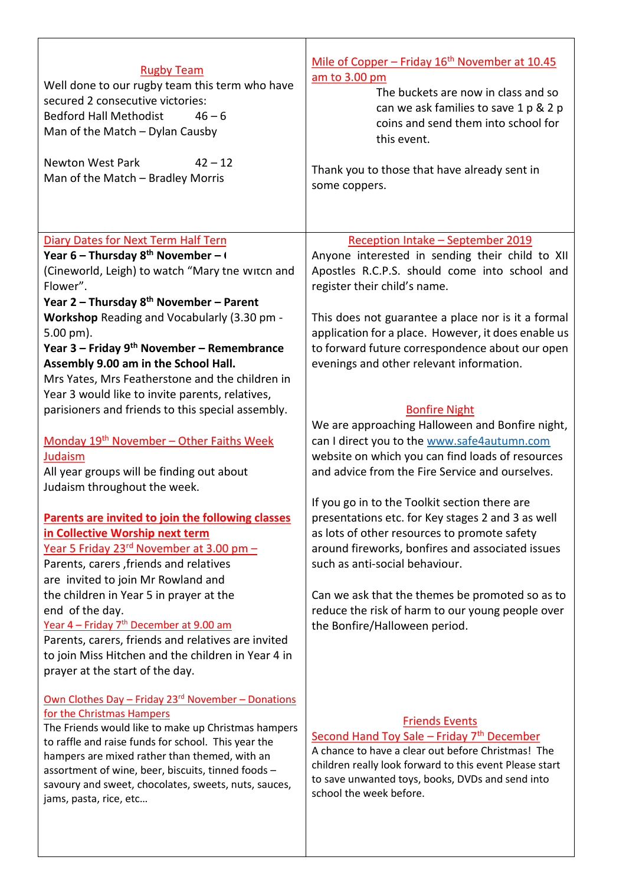| <b>Rugby Team</b><br>Well done to our rugby team this term who have<br>secured 2 consecutive victories:<br><b>Bedford Hall Methodist</b><br>$46 - 6$<br>Man of the Match - Dylan Causby<br><b>Newton West Park</b><br>$42 - 12$<br>Man of the Match - Bradley Morris | Mile of Copper - Friday 16 <sup>th</sup> November at 10.45<br>am to 3.00 pm<br>The buckets are now in class and so<br>can we ask families to save 1 p & 2 p<br>coins and send them into school for<br>this event.<br>Thank you to those that have already sent in<br>some coppers. |
|----------------------------------------------------------------------------------------------------------------------------------------------------------------------------------------------------------------------------------------------------------------------|------------------------------------------------------------------------------------------------------------------------------------------------------------------------------------------------------------------------------------------------------------------------------------|
| <b>Diary Dates for Next Term Half Tern</b>                                                                                                                                                                                                                           | Reception Intake - September 2019                                                                                                                                                                                                                                                  |
| Year 6 – Thursday $8^{th}$ November – $($                                                                                                                                                                                                                            | Anyone interested in sending their child to XII                                                                                                                                                                                                                                    |
| (Cineworld, Leigh) to watch "Mary tne witcn and                                                                                                                                                                                                                      | Apostles R.C.P.S. should come into school and                                                                                                                                                                                                                                      |
| Flower".                                                                                                                                                                                                                                                             | register their child's name.                                                                                                                                                                                                                                                       |
| Year 2 - Thursday 8 <sup>th</sup> November - Parent                                                                                                                                                                                                                  |                                                                                                                                                                                                                                                                                    |
| <b>Workshop</b> Reading and Vocabularly (3.30 pm -                                                                                                                                                                                                                   | This does not guarantee a place nor is it a formal                                                                                                                                                                                                                                 |
| 5.00 pm).                                                                                                                                                                                                                                                            | application for a place. However, it does enable us                                                                                                                                                                                                                                |
| Year 3 – Friday 9 <sup>th</sup> November – Remembrance                                                                                                                                                                                                               | to forward future correspondence about our open                                                                                                                                                                                                                                    |
| Assembly 9.00 am in the School Hall.                                                                                                                                                                                                                                 | evenings and other relevant information.                                                                                                                                                                                                                                           |
| Mrs Yates, Mrs Featherstone and the children in                                                                                                                                                                                                                      |                                                                                                                                                                                                                                                                                    |
| Year 3 would like to invite parents, relatives,                                                                                                                                                                                                                      |                                                                                                                                                                                                                                                                                    |
| parisioners and friends to this special assembly.                                                                                                                                                                                                                    | <b>Bonfire Night</b>                                                                                                                                                                                                                                                               |
|                                                                                                                                                                                                                                                                      | We are approaching Halloween and Bonfire night,                                                                                                                                                                                                                                    |
| Monday 19 <sup>th</sup> November - Other Faiths Week                                                                                                                                                                                                                 | can I direct you to the www.safe4autumn.com<br>website on which you can find loads of resources                                                                                                                                                                                    |
| Judaism<br>All year groups will be finding out about                                                                                                                                                                                                                 | and advice from the Fire Service and ourselves.                                                                                                                                                                                                                                    |
| Judaism throughout the week.                                                                                                                                                                                                                                         |                                                                                                                                                                                                                                                                                    |
|                                                                                                                                                                                                                                                                      | If you go in to the Toolkit section there are                                                                                                                                                                                                                                      |
| Parents are invited to join the following classes                                                                                                                                                                                                                    | presentations etc. for Key stages 2 and 3 as well                                                                                                                                                                                                                                  |
| in Collective Worship next term                                                                                                                                                                                                                                      | as lots of other resources to promote safety                                                                                                                                                                                                                                       |
| Year 5 Friday 23 <sup>rd</sup> November at 3.00 pm -                                                                                                                                                                                                                 | around fireworks, bonfires and associated issues                                                                                                                                                                                                                                   |
| Parents, carers, friends and relatives                                                                                                                                                                                                                               | such as anti-social behaviour.                                                                                                                                                                                                                                                     |
| are invited to join Mr Rowland and                                                                                                                                                                                                                                   |                                                                                                                                                                                                                                                                                    |
| the children in Year 5 in prayer at the                                                                                                                                                                                                                              | Can we ask that the themes be promoted so as to                                                                                                                                                                                                                                    |
| end of the day.                                                                                                                                                                                                                                                      | reduce the risk of harm to our young people over                                                                                                                                                                                                                                   |
| Year 4 - Friday 7 <sup>th</sup> December at 9.00 am                                                                                                                                                                                                                  | the Bonfire/Halloween period.                                                                                                                                                                                                                                                      |
| Parents, carers, friends and relatives are invited                                                                                                                                                                                                                   |                                                                                                                                                                                                                                                                                    |
| to join Miss Hitchen and the children in Year 4 in                                                                                                                                                                                                                   |                                                                                                                                                                                                                                                                                    |
| prayer at the start of the day.                                                                                                                                                                                                                                      |                                                                                                                                                                                                                                                                                    |
| Own Clothes Day - Friday 23 <sup>rd</sup> November - Donations                                                                                                                                                                                                       |                                                                                                                                                                                                                                                                                    |
| for the Christmas Hampers                                                                                                                                                                                                                                            |                                                                                                                                                                                                                                                                                    |
| The Friends would like to make up Christmas hampers                                                                                                                                                                                                                  | <b>Friends Events</b>                                                                                                                                                                                                                                                              |
| to raffle and raise funds for school. This year the                                                                                                                                                                                                                  | Second Hand Toy Sale - Friday 7th December<br>A chance to have a clear out before Christmas! The                                                                                                                                                                                   |
| hampers are mixed rather than themed, with an                                                                                                                                                                                                                        | children really look forward to this event Please start                                                                                                                                                                                                                            |
| assortment of wine, beer, biscuits, tinned foods -                                                                                                                                                                                                                   | to save unwanted toys, books, DVDs and send into                                                                                                                                                                                                                                   |
| savoury and sweet, chocolates, sweets, nuts, sauces,<br>jams, pasta, rice, etc                                                                                                                                                                                       | school the week before.                                                                                                                                                                                                                                                            |
|                                                                                                                                                                                                                                                                      |                                                                                                                                                                                                                                                                                    |
|                                                                                                                                                                                                                                                                      |                                                                                                                                                                                                                                                                                    |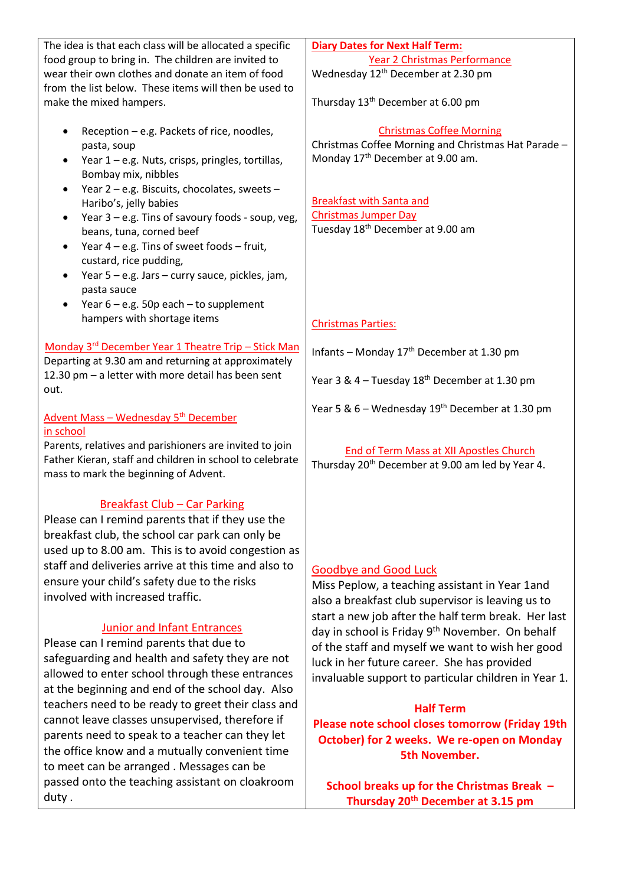| The idea is that each class will be allocated a specific      | <b>Diary Dates for Next Half Term:</b>                       |
|---------------------------------------------------------------|--------------------------------------------------------------|
| food group to bring in. The children are invited to           | Year 2 Christmas Performance                                 |
| wear their own clothes and donate an item of food             | Wednesday 12 <sup>th</sup> December at 2.30 pm               |
| from the list below. These items will then be used to         |                                                              |
| make the mixed hampers.                                       | Thursday 13 <sup>th</sup> December at 6.00 pm                |
|                                                               |                                                              |
|                                                               | <b>Christmas Coffee Morning</b>                              |
| Reception - e.g. Packets of rice, noodles,<br>٠               | Christmas Coffee Morning and Christmas Hat Parade -          |
| pasta, soup                                                   |                                                              |
| Year 1 - e.g. Nuts, crisps, pringles, tortillas,<br>٠         | Monday 17 <sup>th</sup> December at 9.00 am.                 |
| Bombay mix, nibbles                                           |                                                              |
| Year 2 - e.g. Biscuits, chocolates, sweets -<br>$\bullet$     |                                                              |
| Haribo's, jelly babies                                        | <b>Breakfast with Santa and</b>                              |
| Year 3 - e.g. Tins of savoury foods - soup, veg,<br>$\bullet$ | <b>Christmas Jumper Day</b>                                  |
| beans, tuna, corned beef                                      | Tuesday 18 <sup>th</sup> December at 9.00 am                 |
| Year $4 - e.g.$ Tins of sweet foods $-$ fruit,<br>$\bullet$   |                                                              |
| custard, rice pudding,                                        |                                                              |
| Year 5 - e.g. Jars - curry sauce, pickles, jam,<br>$\bullet$  |                                                              |
| pasta sauce                                                   |                                                              |
| Year $6 - e.g.$ 50p each $-$ to supplement<br>$\bullet$       |                                                              |
| hampers with shortage items                                   | <b>Christmas Parties:</b>                                    |
|                                                               |                                                              |
| Monday 3rd December Year 1 Theatre Trip - Stick Man           | Infants - Monday 17 <sup>th</sup> December at 1.30 pm        |
| Departing at 9.30 am and returning at approximately           |                                                              |
| 12.30 pm - a letter with more detail has been sent            | Year 3 & 4 - Tuesday 18 <sup>th</sup> December at 1.30 pm    |
| out.                                                          |                                                              |
|                                                               | Year 5 & 6 – Wednesday 19th December at 1.30 pm              |
| Advent Mass - Wednesday 5 <sup>th</sup> December              |                                                              |
| in school                                                     |                                                              |
| Parents, relatives and parishioners are invited to join       | End of Term Mass at XII Apostles Church                      |
| Father Kieran, staff and children in school to celebrate      | Thursday 20 <sup>th</sup> December at 9.00 am led by Year 4. |
| mass to mark the beginning of Advent.                         |                                                              |
|                                                               |                                                              |
| <b>Breakfast Club - Car Parking</b>                           |                                                              |
| Please can I remind parents that if they use the              |                                                              |
| breakfast club, the school car park can only be               |                                                              |
| used up to 8.00 am. This is to avoid congestion as            |                                                              |
| staff and deliveries arrive at this time and also to          | <b>Goodbye and Good Luck</b>                                 |
| ensure your child's safety due to the risks                   | Miss Peplow, a teaching assistant in Year 1and               |
| involved with increased traffic.                              | also a breakfast club supervisor is leaving us to            |
|                                                               |                                                              |
| <b>Junior and Infant Entrances</b>                            | start a new job after the half term break. Her last          |
| Please can I remind parents that due to                       | day in school is Friday 9th November. On behalf              |
|                                                               | of the staff and myself we want to wish her good             |
| safeguarding and health and safety they are not               | luck in her future career. She has provided                  |
| allowed to enter school through these entrances               | invaluable support to particular children in Year 1.         |
| at the beginning and end of the school day. Also              |                                                              |
| teachers need to be ready to greet their class and            | <b>Half Term</b>                                             |
| cannot leave classes unsupervised, therefore if               | Please note school closes tomorrow (Friday 19th              |
| parents need to speak to a teacher can they let               | October) for 2 weeks. We re-open on Monday                   |
| the office know and a mutually convenient time                | <b>5th November.</b>                                         |
| to meet can be arranged. Messages can be                      |                                                              |
| passed onto the teaching assistant on cloakroom               | School breaks up for the Christmas Break -                   |

duty .

**School breaks up for the Christmas Break – Thursday 20th December at 3.15 pm**